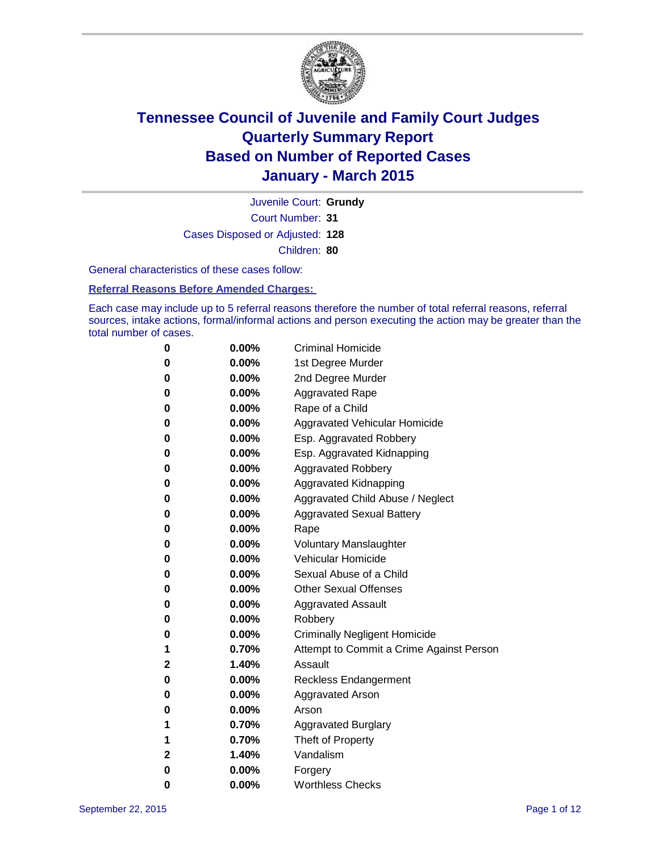

Court Number: **31** Juvenile Court: **Grundy** Cases Disposed or Adjusted: **128** Children: **80**

General characteristics of these cases follow:

#### **Referral Reasons Before Amended Charges:**

Each case may include up to 5 referral reasons therefore the number of total referral reasons, referral sources, intake actions, formal/informal actions and person executing the action may be greater than the total number of cases.

| 0            | $0.00\%$ | <b>Criminal Homicide</b>                 |
|--------------|----------|------------------------------------------|
| 0            | $0.00\%$ | 1st Degree Murder                        |
| 0            | $0.00\%$ | 2nd Degree Murder                        |
| $\bf{0}$     | $0.00\%$ | <b>Aggravated Rape</b>                   |
| 0            | $0.00\%$ | Rape of a Child                          |
| 0            | $0.00\%$ | Aggravated Vehicular Homicide            |
| 0            | 0.00%    | Esp. Aggravated Robbery                  |
| 0            | $0.00\%$ | Esp. Aggravated Kidnapping               |
| 0            | $0.00\%$ | <b>Aggravated Robbery</b>                |
| $\bf{0}$     | $0.00\%$ | Aggravated Kidnapping                    |
| $\bf{0}$     | $0.00\%$ | Aggravated Child Abuse / Neglect         |
| 0            | $0.00\%$ | <b>Aggravated Sexual Battery</b>         |
| 0            | $0.00\%$ | Rape                                     |
| 0            | $0.00\%$ | <b>Voluntary Manslaughter</b>            |
| 0            | 0.00%    | <b>Vehicular Homicide</b>                |
| 0            | $0.00\%$ | Sexual Abuse of a Child                  |
| 0            | $0.00\%$ | <b>Other Sexual Offenses</b>             |
| $\bf{0}$     | $0.00\%$ | <b>Aggravated Assault</b>                |
| 0            | 0.00%    | Robbery                                  |
| 0            | $0.00\%$ | <b>Criminally Negligent Homicide</b>     |
| 1            | 0.70%    | Attempt to Commit a Crime Against Person |
| $\mathbf{2}$ | 1.40%    | Assault                                  |
| $\bf{0}$     | 0.00%    | <b>Reckless Endangerment</b>             |
| 0            | $0.00\%$ | <b>Aggravated Arson</b>                  |
| 0            | $0.00\%$ | Arson                                    |
| 1            | 0.70%    | <b>Aggravated Burglary</b>               |
| 1            | 0.70%    | Theft of Property                        |
| $\mathbf 2$  | 1.40%    | Vandalism                                |
| $\bf{0}$     | 0.00%    | Forgery                                  |
| 0            | 0.00%    | <b>Worthless Checks</b>                  |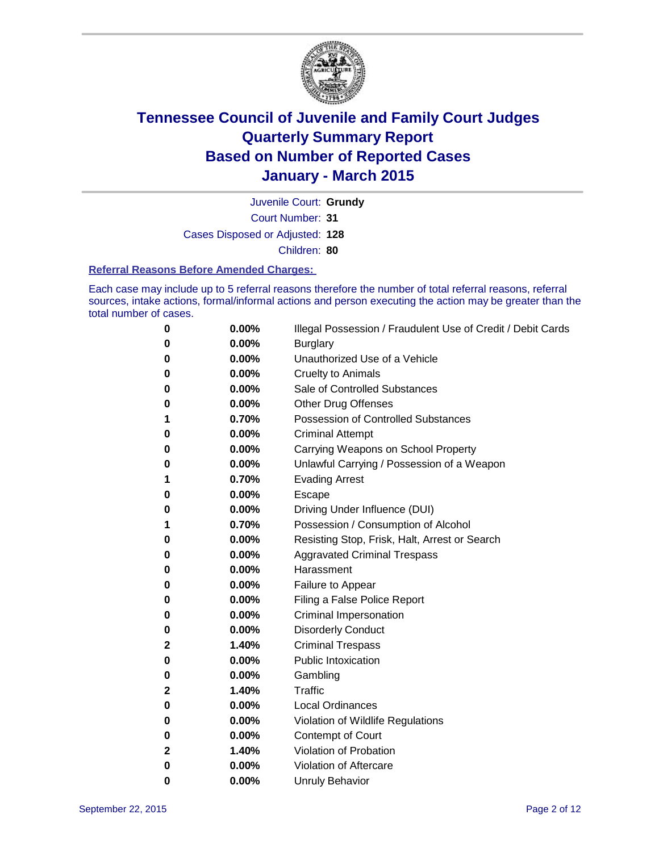

Court Number: **31** Juvenile Court: **Grundy** Cases Disposed or Adjusted: **128** Children: **80**

#### **Referral Reasons Before Amended Charges:**

Each case may include up to 5 referral reasons therefore the number of total referral reasons, referral sources, intake actions, formal/informal actions and person executing the action may be greater than the total number of cases.

| 0            | 0.00% | Illegal Possession / Fraudulent Use of Credit / Debit Cards |
|--------------|-------|-------------------------------------------------------------|
| 0            | 0.00% | <b>Burglary</b>                                             |
| 0            | 0.00% | Unauthorized Use of a Vehicle                               |
| 0            | 0.00% | <b>Cruelty to Animals</b>                                   |
| 0            | 0.00% | Sale of Controlled Substances                               |
| 0            | 0.00% | <b>Other Drug Offenses</b>                                  |
| 1            | 0.70% | <b>Possession of Controlled Substances</b>                  |
| 0            | 0.00% | <b>Criminal Attempt</b>                                     |
| 0            | 0.00% | Carrying Weapons on School Property                         |
| 0            | 0.00% | Unlawful Carrying / Possession of a Weapon                  |
| 1            | 0.70% | <b>Evading Arrest</b>                                       |
| 0            | 0.00% | Escape                                                      |
| 0            | 0.00% | Driving Under Influence (DUI)                               |
| 1            | 0.70% | Possession / Consumption of Alcohol                         |
| 0            | 0.00% | Resisting Stop, Frisk, Halt, Arrest or Search               |
| 0            | 0.00% | <b>Aggravated Criminal Trespass</b>                         |
| 0            | 0.00% | Harassment                                                  |
| 0            | 0.00% | Failure to Appear                                           |
| 0            | 0.00% | Filing a False Police Report                                |
| 0            | 0.00% | Criminal Impersonation                                      |
| 0            | 0.00% | <b>Disorderly Conduct</b>                                   |
| $\mathbf 2$  | 1.40% | <b>Criminal Trespass</b>                                    |
| 0            | 0.00% | <b>Public Intoxication</b>                                  |
| 0            | 0.00% | Gambling                                                    |
| $\mathbf{2}$ | 1.40% | <b>Traffic</b>                                              |
| 0            | 0.00% | <b>Local Ordinances</b>                                     |
| 0            | 0.00% | Violation of Wildlife Regulations                           |
| 0            | 0.00% | Contempt of Court                                           |
| 2            | 1.40% | Violation of Probation                                      |
| 0            | 0.00% | Violation of Aftercare                                      |
| 0            | 0.00% | <b>Unruly Behavior</b>                                      |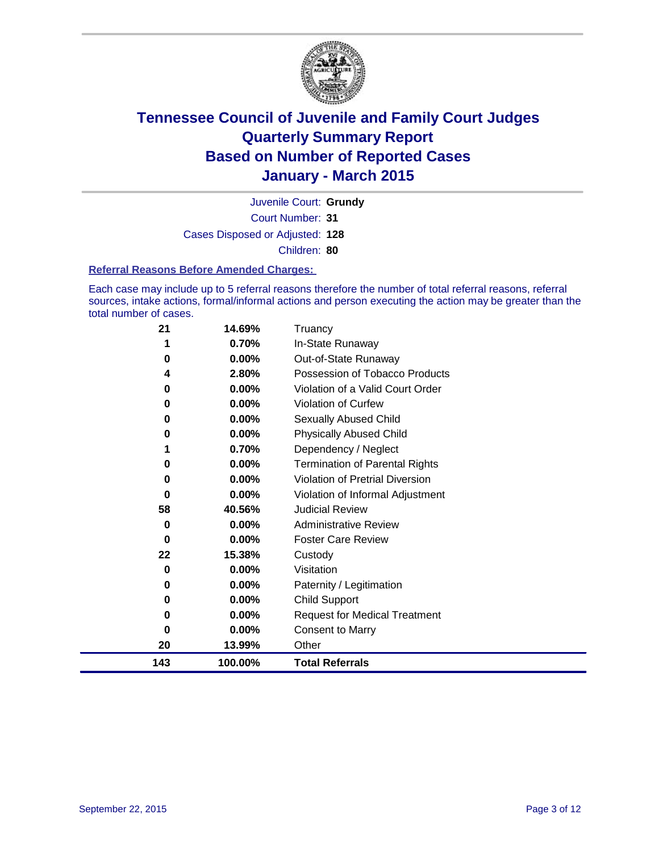

Court Number: **31** Juvenile Court: **Grundy** Cases Disposed or Adjusted: **128** Children: **80**

#### **Referral Reasons Before Amended Charges:**

Each case may include up to 5 referral reasons therefore the number of total referral reasons, referral sources, intake actions, formal/informal actions and person executing the action may be greater than the total number of cases.

| 21  | 14.69%   | Truancy                                |
|-----|----------|----------------------------------------|
| 1   | 0.70%    | In-State Runaway                       |
| 0   | $0.00\%$ | Out-of-State Runaway                   |
| 4   | 2.80%    | Possession of Tobacco Products         |
| 0   | 0.00%    | Violation of a Valid Court Order       |
| 0   | 0.00%    | <b>Violation of Curfew</b>             |
| 0   | 0.00%    | Sexually Abused Child                  |
| 0   | 0.00%    | <b>Physically Abused Child</b>         |
| 1   | 0.70%    | Dependency / Neglect                   |
| 0   | 0.00%    | <b>Termination of Parental Rights</b>  |
| 0   | 0.00%    | <b>Violation of Pretrial Diversion</b> |
| 0   | 0.00%    | Violation of Informal Adjustment       |
| 58  | 40.56%   | <b>Judicial Review</b>                 |
| 0   | 0.00%    | <b>Administrative Review</b>           |
| 0   | 0.00%    | <b>Foster Care Review</b>              |
| 22  | 15.38%   | Custody                                |
| 0   | 0.00%    | Visitation                             |
| 0   | 0.00%    | Paternity / Legitimation               |
| 0   | 0.00%    | <b>Child Support</b>                   |
| 0   | 0.00%    | <b>Request for Medical Treatment</b>   |
| 0   | 0.00%    | <b>Consent to Marry</b>                |
| 20  | 13.99%   | Other                                  |
| 143 | 100.00%  | <b>Total Referrals</b>                 |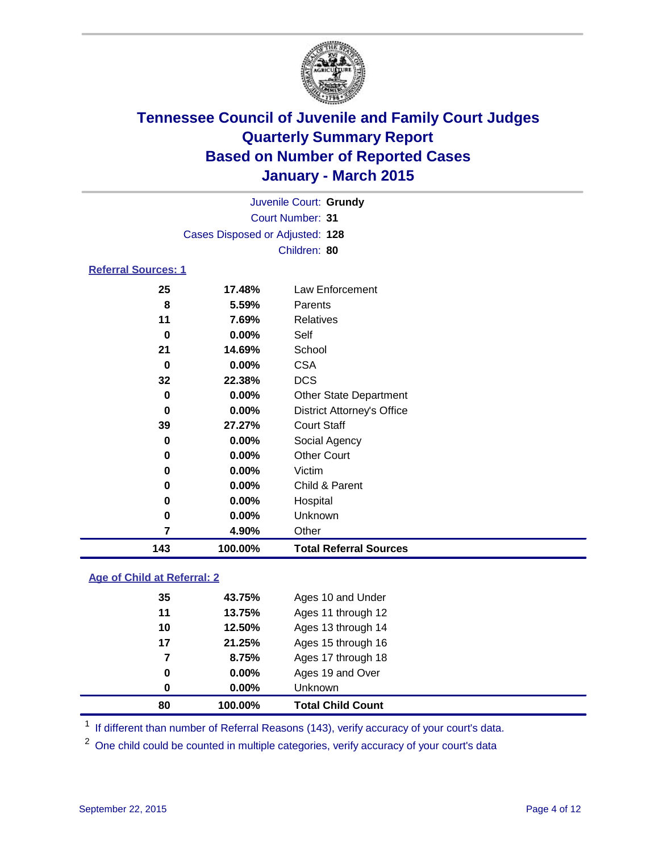

| Juvenile Court: Grundy          |  |
|---------------------------------|--|
| Court Number: 31                |  |
| Cases Disposed or Adjusted: 128 |  |
| Children: 80                    |  |

### **Referral Sources: 1**

| 143      | 100.00%  | <b>Total Referral Sources</b>     |
|----------|----------|-----------------------------------|
| 7        | 4.90%    | Other                             |
| 0        | 0.00%    | Unknown                           |
| 0        | 0.00%    | Hospital                          |
| 0        | $0.00\%$ | Child & Parent                    |
| 0        | $0.00\%$ | Victim                            |
| 0        | $0.00\%$ | <b>Other Court</b>                |
| 0        | $0.00\%$ | Social Agency                     |
| 39       | 27.27%   | <b>Court Staff</b>                |
| $\bf{0}$ | $0.00\%$ | <b>District Attorney's Office</b> |
| 0        | $0.00\%$ | <b>Other State Department</b>     |
| 32       | 22.38%   | <b>DCS</b>                        |
| 0        | $0.00\%$ | <b>CSA</b>                        |
| 21       | 14.69%   | School                            |
| 0        | $0.00\%$ | Self                              |
| 11       | 7.69%    | Relatives                         |
| 8        | 5.59%    | Parents                           |
| 25       | 17.48%   | Law Enforcement                   |

### **Age of Child at Referral: 2**

| 80 | 100.00%  | <b>Total Child Count</b> |
|----|----------|--------------------------|
| 0  | $0.00\%$ | <b>Unknown</b>           |
| 0  | $0.00\%$ | Ages 19 and Over         |
| 7  | 8.75%    | Ages 17 through 18       |
| 17 | 21.25%   | Ages 15 through 16       |
| 10 | 12.50%   | Ages 13 through 14       |
| 11 | 13.75%   | Ages 11 through 12       |
| 35 | 43.75%   | Ages 10 and Under        |

<sup>1</sup> If different than number of Referral Reasons (143), verify accuracy of your court's data.

One child could be counted in multiple categories, verify accuracy of your court's data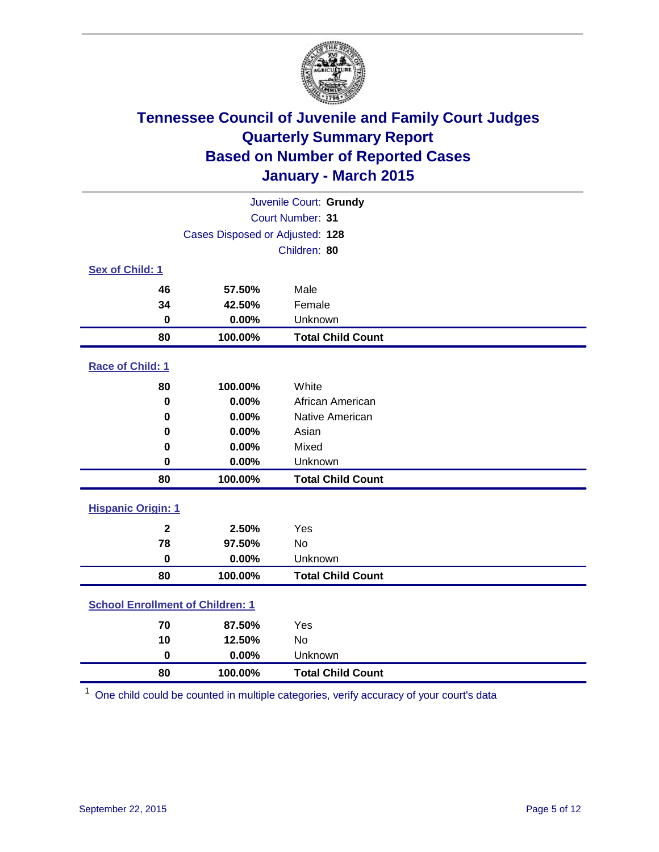

| Juvenile Court: Grundy                  |                                 |                          |  |  |  |
|-----------------------------------------|---------------------------------|--------------------------|--|--|--|
|                                         | Court Number: 31                |                          |  |  |  |
|                                         | Cases Disposed or Adjusted: 128 |                          |  |  |  |
|                                         |                                 | Children: 80             |  |  |  |
| Sex of Child: 1                         |                                 |                          |  |  |  |
| 46                                      | 57.50%                          | Male                     |  |  |  |
| 34                                      | 42.50%                          | Female                   |  |  |  |
| $\bf{0}$                                | 0.00%                           | Unknown                  |  |  |  |
| 80                                      | 100.00%                         | <b>Total Child Count</b> |  |  |  |
| Race of Child: 1                        |                                 |                          |  |  |  |
| 80                                      | 100.00%                         | White                    |  |  |  |
| $\pmb{0}$                               | 0.00%                           | African American         |  |  |  |
| 0                                       | 0.00%                           | Native American          |  |  |  |
| 0                                       | 0.00%                           | Asian                    |  |  |  |
| 0                                       | 0.00%                           | Mixed                    |  |  |  |
| 0                                       | 0.00%                           | Unknown                  |  |  |  |
| 80                                      | 100.00%                         | <b>Total Child Count</b> |  |  |  |
| <b>Hispanic Origin: 1</b>               |                                 |                          |  |  |  |
| $\mathbf{2}$                            | 2.50%                           | Yes                      |  |  |  |
| 78                                      | 97.50%                          | <b>No</b>                |  |  |  |
| $\bf{0}$                                | 0.00%                           | Unknown                  |  |  |  |
| 80                                      | 100.00%                         | <b>Total Child Count</b> |  |  |  |
| <b>School Enrollment of Children: 1</b> |                                 |                          |  |  |  |
| 70                                      | 87.50%                          | Yes                      |  |  |  |
| 10                                      | 12.50%                          | No                       |  |  |  |
| $\mathbf 0$                             | 0.00%                           | Unknown                  |  |  |  |
| 80                                      | 100.00%                         | <b>Total Child Count</b> |  |  |  |

One child could be counted in multiple categories, verify accuracy of your court's data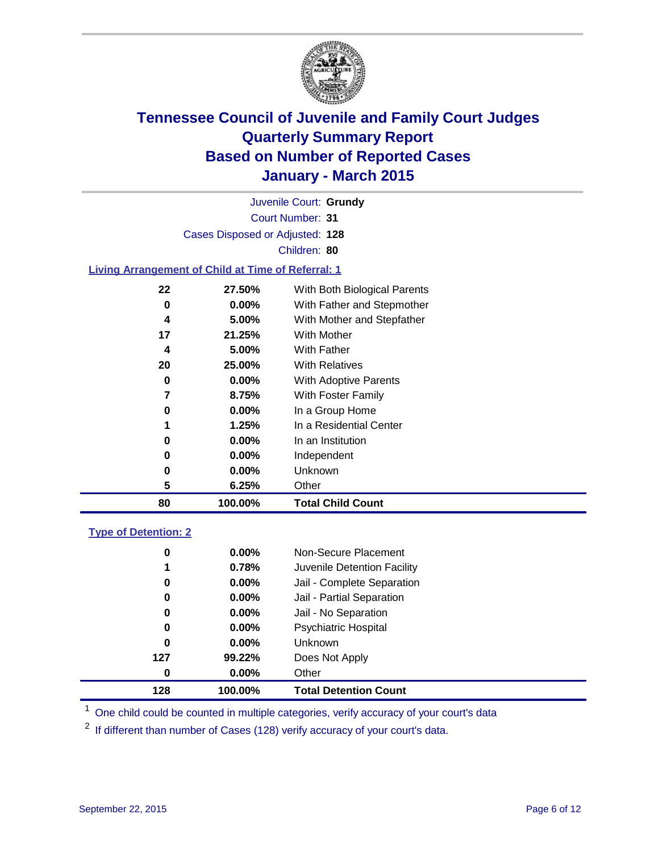

Court Number: **31** Juvenile Court: **Grundy** Cases Disposed or Adjusted: **128** Children: **80**

### **Living Arrangement of Child at Time of Referral: 1**

| 80             | 100.00%  | <b>Total Child Count</b>     |
|----------------|----------|------------------------------|
| 5              | 6.25%    | Other                        |
| 0              | 0.00%    | Unknown                      |
| 0              | $0.00\%$ | Independent                  |
| 0              | 0.00%    | In an Institution            |
| 1              | 1.25%    | In a Residential Center      |
| 0              | 0.00%    | In a Group Home              |
| $\overline{7}$ | 8.75%    | With Foster Family           |
| 0              | $0.00\%$ | With Adoptive Parents        |
| 20             | 25.00%   | <b>With Relatives</b>        |
| 4              | 5.00%    | With Father                  |
| 17             | 21.25%   | With Mother                  |
| 4              | 5.00%    | With Mother and Stepfather   |
| 0              | $0.00\%$ | With Father and Stepmother   |
| 22             | 27.50%   | With Both Biological Parents |
|                |          |                              |

#### **Type of Detention: 2**

| 0   | $0.00\%$ | Non-Secure Placement         |
|-----|----------|------------------------------|
| 1   | 0.78%    | Juvenile Detention Facility  |
| 0   | $0.00\%$ | Jail - Complete Separation   |
| 0   | $0.00\%$ | Jail - Partial Separation    |
| 0   | $0.00\%$ | Jail - No Separation         |
| 0   | $0.00\%$ | <b>Psychiatric Hospital</b>  |
| 0   | $0.00\%$ | <b>Unknown</b>               |
| 127 | 99.22%   | Does Not Apply               |
| 0   | $0.00\%$ | Other                        |
| 128 | 100.00%  | <b>Total Detention Count</b> |

<sup>1</sup> One child could be counted in multiple categories, verify accuracy of your court's data

If different than number of Cases (128) verify accuracy of your court's data.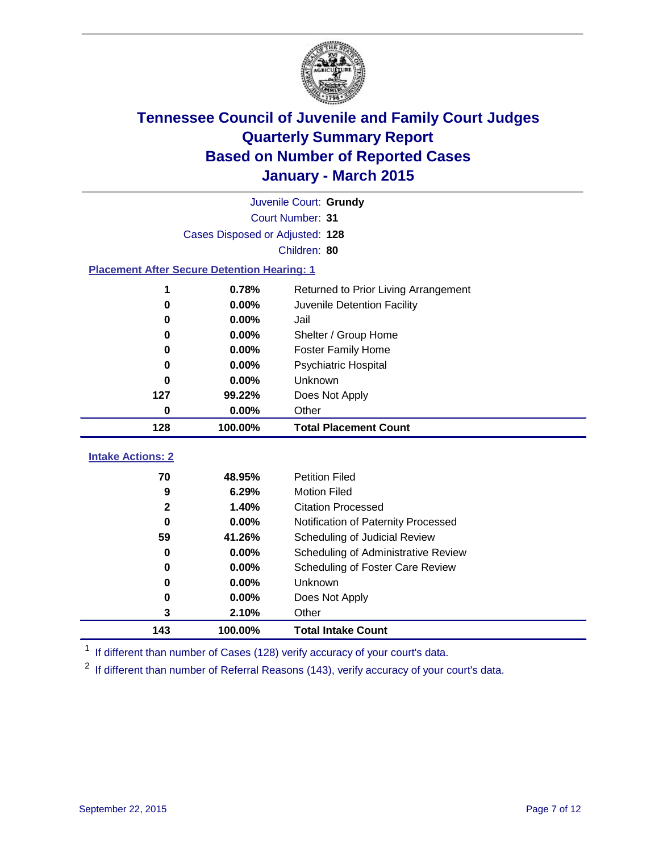

|                          | Juvenile Court: Grundy                             |                                      |  |  |  |  |  |
|--------------------------|----------------------------------------------------|--------------------------------------|--|--|--|--|--|
|                          | Court Number: 31                                   |                                      |  |  |  |  |  |
|                          | Cases Disposed or Adjusted: 128                    |                                      |  |  |  |  |  |
| Children: 80             |                                                    |                                      |  |  |  |  |  |
|                          | <b>Placement After Secure Detention Hearing: 1</b> |                                      |  |  |  |  |  |
| 1                        | 0.78%                                              | Returned to Prior Living Arrangement |  |  |  |  |  |
| 0                        | 0.00%                                              | Juvenile Detention Facility          |  |  |  |  |  |
| 0                        | 0.00%                                              | Jail                                 |  |  |  |  |  |
| 0                        | 0.00%                                              | Shelter / Group Home                 |  |  |  |  |  |
| 0                        | 0.00%                                              | <b>Foster Family Home</b>            |  |  |  |  |  |
| 0                        | 0.00%                                              | <b>Psychiatric Hospital</b>          |  |  |  |  |  |
| U                        | 0.00%                                              | Unknown                              |  |  |  |  |  |
| 127                      | 99.22%                                             | Does Not Apply                       |  |  |  |  |  |
| 0                        | 0.00%                                              | Other                                |  |  |  |  |  |
| 128                      | 100.00%                                            | <b>Total Placement Count</b>         |  |  |  |  |  |
| <b>Intake Actions: 2</b> |                                                    |                                      |  |  |  |  |  |
| 70                       | 48.95%                                             | <b>Petition Filed</b>                |  |  |  |  |  |
| 9                        | 6.29%                                              | <b>Motion Filed</b>                  |  |  |  |  |  |
| $\mathbf{2}$             | 1.40%                                              | <b>Citation Processed</b>            |  |  |  |  |  |
| 0                        | 0.00%                                              | Notification of Paternity Processed  |  |  |  |  |  |
| 59                       | 41.26%                                             | Scheduling of Judicial Review        |  |  |  |  |  |
| 0                        | 0.00%                                              | Scheduling of Administrative Review  |  |  |  |  |  |
| 0                        | 0.00%                                              | Scheduling of Foster Care Review     |  |  |  |  |  |
| 0                        | 0.00%                                              | <b>Unknown</b>                       |  |  |  |  |  |
|                          |                                                    |                                      |  |  |  |  |  |
| 0                        | 0.00%                                              | Does Not Apply                       |  |  |  |  |  |

<sup>1</sup> If different than number of Cases (128) verify accuracy of your court's data.

**100.00% Total Intake Count**

If different than number of Referral Reasons (143), verify accuracy of your court's data.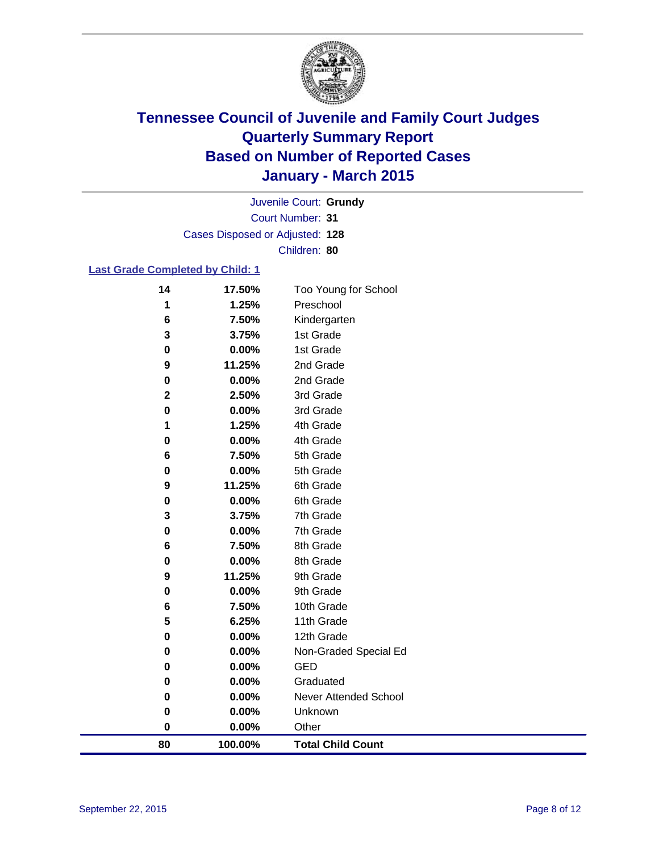

Court Number: **31** Juvenile Court: **Grundy** Cases Disposed or Adjusted: **128** Children: **80**

### **Last Grade Completed by Child: 1**

| 80          | 100.00%         | <b>Total Child Count</b>     |  |
|-------------|-----------------|------------------------------|--|
| $\bf{0}$    | 0.00%           | Other                        |  |
| 0           | 0.00%           | Unknown                      |  |
| 0           | 0.00%           | <b>Never Attended School</b> |  |
| 0           | 0.00%           | Graduated                    |  |
| 0           | 0.00%           | GED                          |  |
| 0           | 0.00%           | Non-Graded Special Ed        |  |
| 0           | 0.00%           | 12th Grade                   |  |
| 5           | 6.25%           | 11th Grade                   |  |
| 6           | 7.50%           | 10th Grade                   |  |
| 0           | 0.00%           | 9th Grade                    |  |
| 9           | 11.25%          | 9th Grade                    |  |
| 0           | 0.00%           | 8th Grade                    |  |
| 6           | 7.50%           | 8th Grade                    |  |
| 0           | 0.00%           | 7th Grade                    |  |
| 3           | 3.75%           | 7th Grade                    |  |
| $\bf{0}$    | 0.00%           | 6th Grade                    |  |
| 9           | 0.00%<br>11.25% | 6th Grade                    |  |
| 6<br>0      | 7.50%           | 5th Grade<br>5th Grade       |  |
| 0           | 0.00%           | 4th Grade                    |  |
| 1           | 1.25%           | 4th Grade                    |  |
| 0           | 0.00%           | 3rd Grade                    |  |
| $\mathbf 2$ | 2.50%           | 3rd Grade                    |  |
| 0           | 0.00%           | 2nd Grade                    |  |
| 9           | 11.25%          | 2nd Grade                    |  |
| $\bf{0}$    | 0.00%           | 1st Grade                    |  |
| 3           | 3.75%           | 1st Grade                    |  |
| 6           | 7.50%           | Kindergarten                 |  |
| 1           | 1.25%           | Preschool                    |  |
| 14          | 17.50%          | Too Young for School         |  |
|             |                 |                              |  |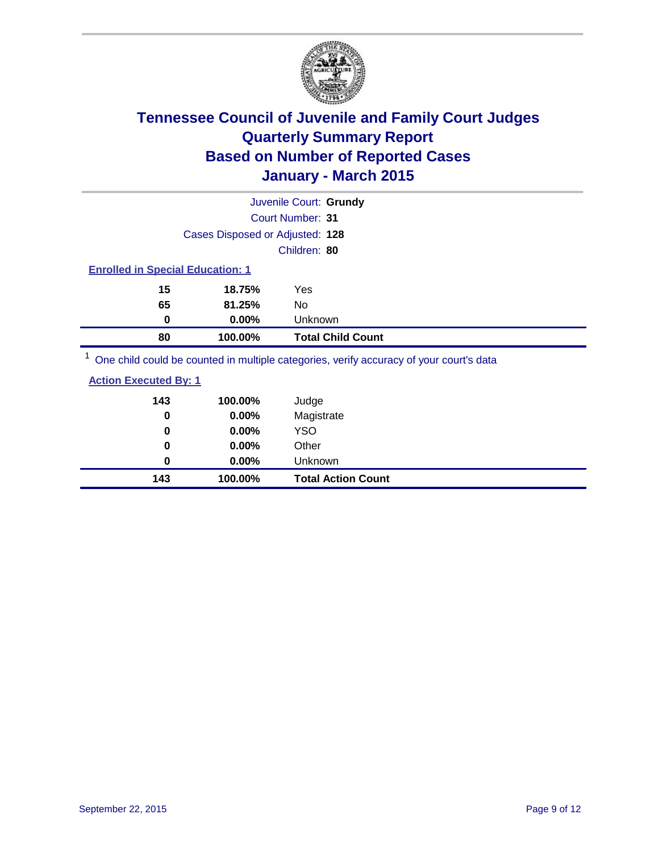

|                                                                                                                                                                                                                                                     |                                 | Juvenile Court: Grundy                                                                                          |  |
|-----------------------------------------------------------------------------------------------------------------------------------------------------------------------------------------------------------------------------------------------------|---------------------------------|-----------------------------------------------------------------------------------------------------------------|--|
|                                                                                                                                                                                                                                                     |                                 | <b>Court Number: 31</b>                                                                                         |  |
|                                                                                                                                                                                                                                                     | Cases Disposed or Adjusted: 128 |                                                                                                                 |  |
|                                                                                                                                                                                                                                                     |                                 | Children: 80                                                                                                    |  |
| <b>Enrolled in Special Education: 1</b>                                                                                                                                                                                                             |                                 |                                                                                                                 |  |
| 15                                                                                                                                                                                                                                                  | 18.75%                          | Yes                                                                                                             |  |
| 65                                                                                                                                                                                                                                                  | 81.25%                          | No.                                                                                                             |  |
| 0                                                                                                                                                                                                                                                   | $0.00\%$                        | Unknown                                                                                                         |  |
| 80                                                                                                                                                                                                                                                  | 100.00%                         | <b>Total Child Count</b>                                                                                        |  |
| $1 -$<br><b><i>Charles Committee Committee Committee Committee Committee Committee Committee Committee Committee Committee Committee Committee Committee Committee Committee Committee Committee Committee Committee Committee Committee Co</i></b> |                                 | the contract of the contract of the contract of the contract of the contract of the contract of the contract of |  |

One child could be counted in multiple categories, verify accuracy of your court's data

### **Action Executed By: 1**

| 143<br>0 | 100.00%<br>0.00% | Judge<br>Magistrate       |
|----------|------------------|---------------------------|
| 0        | $0.00\%$         | <b>YSO</b>                |
| 0        | $0.00\%$         | Other                     |
| 0        | $0.00\%$         | Unknown                   |
| 143      | 100.00%          | <b>Total Action Count</b> |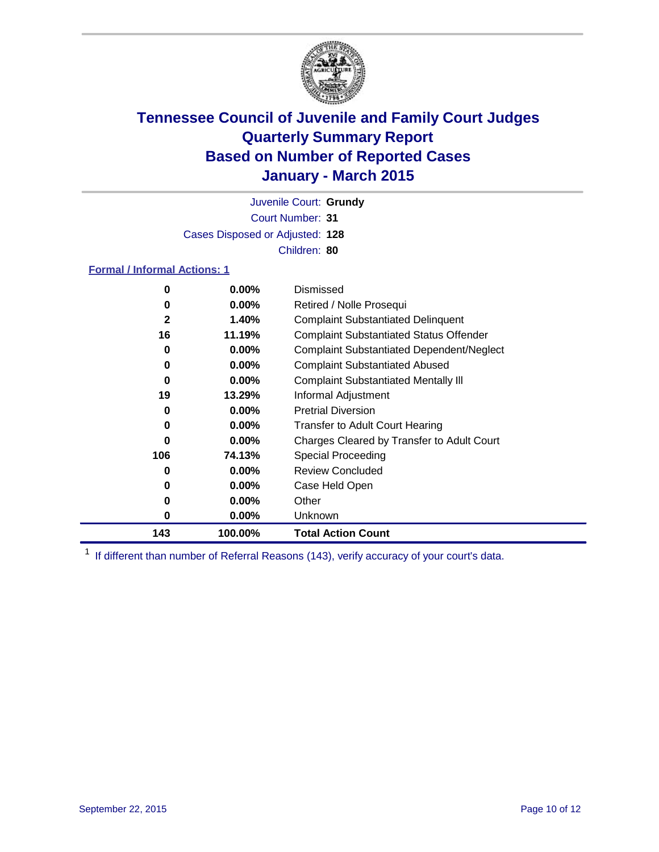

Court Number: **31** Juvenile Court: **Grundy** Cases Disposed or Adjusted: **128** Children: **80**

### **Formal / Informal Actions: 1**

| 0   | 0.00%    | Dismissed                                        |
|-----|----------|--------------------------------------------------|
| 0   | $0.00\%$ | Retired / Nolle Prosequi                         |
| 2   | 1.40%    | <b>Complaint Substantiated Delinquent</b>        |
| 16  | 11.19%   | <b>Complaint Substantiated Status Offender</b>   |
| 0   | $0.00\%$ | <b>Complaint Substantiated Dependent/Neglect</b> |
| 0   | $0.00\%$ | <b>Complaint Substantiated Abused</b>            |
| 0   | $0.00\%$ | <b>Complaint Substantiated Mentally III</b>      |
| 19  | 13.29%   | Informal Adjustment                              |
| 0   | $0.00\%$ | <b>Pretrial Diversion</b>                        |
| 0   | $0.00\%$ | <b>Transfer to Adult Court Hearing</b>           |
| 0   | $0.00\%$ | Charges Cleared by Transfer to Adult Court       |
| 106 | 74.13%   | <b>Special Proceeding</b>                        |
| 0   | $0.00\%$ | <b>Review Concluded</b>                          |
| 0   | $0.00\%$ | Case Held Open                                   |
| 0   | $0.00\%$ | Other                                            |
| 0   | $0.00\%$ | Unknown                                          |
| 143 | 100.00%  | <b>Total Action Count</b>                        |

<sup>1</sup> If different than number of Referral Reasons (143), verify accuracy of your court's data.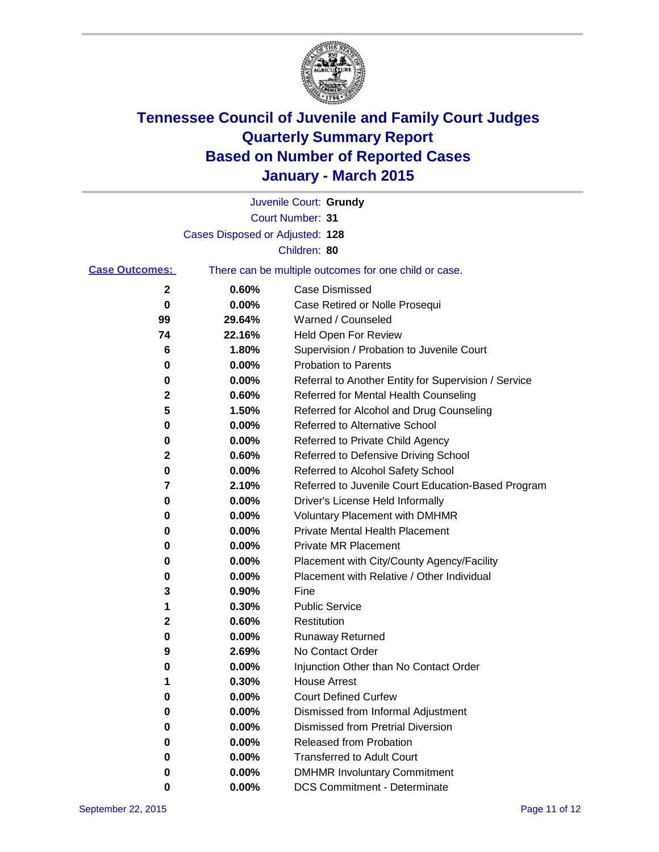

|                       |                                 | Juvenile Court: Grundy                                |
|-----------------------|---------------------------------|-------------------------------------------------------|
|                       |                                 | Court Number: 31                                      |
|                       | Cases Disposed or Adjusted: 128 |                                                       |
|                       |                                 | Children: 80                                          |
| <b>Case Outcomes:</b> |                                 | There can be multiple outcomes for one child or case. |
| 2                     | 0.60%                           | <b>Case Dismissed</b>                                 |
| 0                     | 0.00%                           | Case Retired or Nolle Prosequi                        |
| 99                    | 29.64%                          | Warned / Counseled                                    |
| 74                    | 22.16%                          | Held Open For Review                                  |
| 6                     | 1.80%                           | Supervision / Probation to Juvenile Court             |
| 0                     | 0.00%                           | <b>Probation to Parents</b>                           |
| 0                     | 0.00%                           | Referral to Another Entity for Supervision / Service  |
| 2                     | 0.60%                           | Referred for Mental Health Counseling                 |
| 5                     | 1.50%                           | Referred for Alcohol and Drug Counseling              |
| 0                     | 0.00%                           | <b>Referred to Alternative School</b>                 |
| 0                     | 0.00%                           | Referred to Private Child Agency                      |
| 2                     | 0.60%                           | Referred to Defensive Driving School                  |
| 0                     | 0.00%                           | Referred to Alcohol Safety School                     |
| 7                     | 2.10%                           | Referred to Juvenile Court Education-Based Program    |
| 0                     | 0.00%                           | Driver's License Held Informally                      |
| 0                     | 0.00%                           | <b>Voluntary Placement with DMHMR</b>                 |
| 0                     | 0.00%                           | <b>Private Mental Health Placement</b>                |
| 0                     | 0.00%                           | <b>Private MR Placement</b>                           |
| 0                     | 0.00%                           | Placement with City/County Agency/Facility            |
| 0                     | 0.00%                           | Placement with Relative / Other Individual            |
| 3                     | 0.90%                           | Fine                                                  |
| 1                     | 0.30%                           | <b>Public Service</b>                                 |
| $\mathbf 2$           | 0.60%                           | Restitution                                           |
| 0                     | 0.00%                           | <b>Runaway Returned</b>                               |
| 9                     | 2.69%                           | No Contact Order                                      |
| 0                     | 0.00%                           | Injunction Other than No Contact Order                |
| 1                     | 0.30%                           | <b>House Arrest</b>                                   |
| 0                     | 0.00%                           | <b>Court Defined Curfew</b>                           |
| 0                     | 0.00%                           | Dismissed from Informal Adjustment                    |
| 0                     | 0.00%                           | <b>Dismissed from Pretrial Diversion</b>              |
| 0                     | 0.00%                           | Released from Probation                               |
| 0                     | 0.00%                           | <b>Transferred to Adult Court</b>                     |
| 0                     | 0.00%                           | <b>DMHMR Involuntary Commitment</b>                   |
| 0                     | $0.00\%$                        | <b>DCS Commitment - Determinate</b>                   |